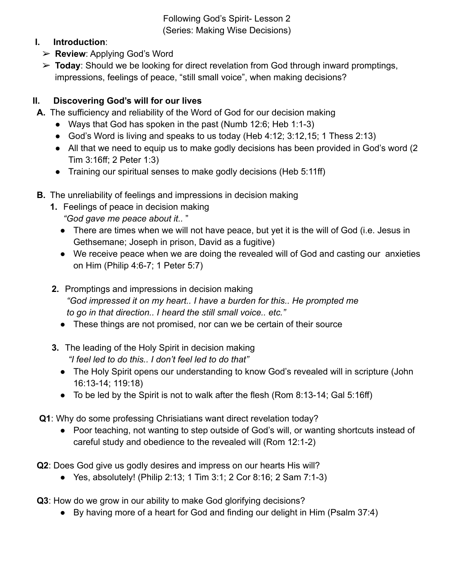Following God's Spirit- Lesson 2 (Series: Making Wise Decisions)

## **I. Introduction**:

- ➢ **Review**: Applying God's Word
- ➢ **Today**: Should we be looking for direct revelation from God through inward promptings, impressions, feelings of peace, "still small voice", when making decisions?

## **II. Discovering God's will for our lives**

- **A.** The sufficiency and reliability of the Word of God for our decision making
	- Ways that God has spoken in the past (Numb 12:6; Heb 1:1-3)
	- God's Word is living and speaks to us today (Heb 4:12; 3:12,15; 1 Thess 2:13)
	- All that we need to equip us to make godly decisions has been provided in God's word (2) Tim 3:16ff; 2 Peter 1:3)
	- Training our spiritual senses to make godly decisions (Heb 5:11ff)
- **B.** The unreliability of feelings and impressions in decision making
	- **1.** Feelings of peace in decision making
		- *"God gave me peace about it..* "
		- There are times when we will not have peace, but yet it is the will of God (i.e. Jesus in Gethsemane; Joseph in prison, David as a fugitive)
		- We receive peace when we are doing the revealed will of God and casting our anxieties on Him (Philip 4:6-7; 1 Peter 5:7)
	- **2.** Promptings and impressions in decision making *"God impressed it on my heart.. I have a burden for this.. He prompted me to go in that direction.. I heard the still small voice.. etc."*
		- These things are not promised, nor can we be certain of their source
	- **3.** The leading of the Holy Spirit in decision making *"I feel led to do this.. I don't feel led to do that"*
		- The Holy Spirit opens our understanding to know God's revealed will in scripture (John 16:13-14; 119:18)
		- To be led by the Spirit is not to walk after the flesh (Rom 8:13-14; Gal 5:16ff)
- **Q1**: Why do some professing Chrisiatians want direct revelation today?
	- Poor teaching, not wanting to step outside of God's will, or wanting shortcuts instead of careful study and obedience to the revealed will (Rom 12:1-2)
- **Q2**: Does God give us godly desires and impress on our hearts His will?
	- Yes, absolutely! (Philip 2:13; 1 Tim 3:1; 2 Cor 8:16; 2 Sam  $7:1-3$ )
- **Q3**: How do we grow in our ability to make God glorifying decisions?
	- By having more of a heart for God and finding our delight in Him (Psalm 37:4)